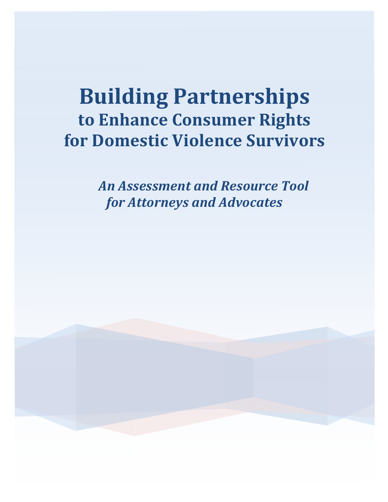# **Building Partnerships to Enhance Consumer Rights for Domestic Violence Survivors**

An Assessment and Resource Tool for **Attorneys** and **Advocates** 

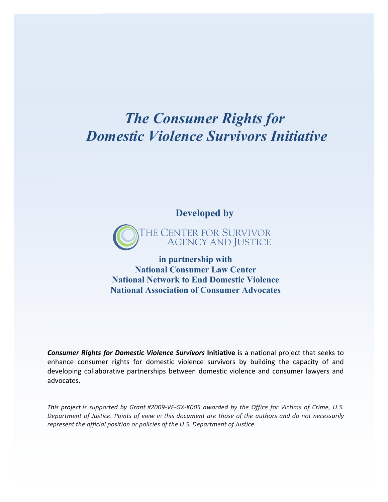# *The Consumer Rights for Domestic Violence Survivors Initiative*

**Developed by**



**in partnership with National Consumer Law Center National Network to End Domestic Violence National Association of Consumer Advocates**

**Consumer Rights for Domestic Violence Survivors Initiative** is a national project that seeks to enhance consumer rights for domestic violence survivors by building the capacity of and developing collaborative partnerships between domestic violence and consumer lawyers and advocates. 

This project is supported by Grant #2009-VF-GX-K005 awarded by the Office for Victims of Crime, U.S. Department of Justice. Points of view in this document are those of the authors and do not necessarily represent the official position or policies of the U.S. Department of Justice.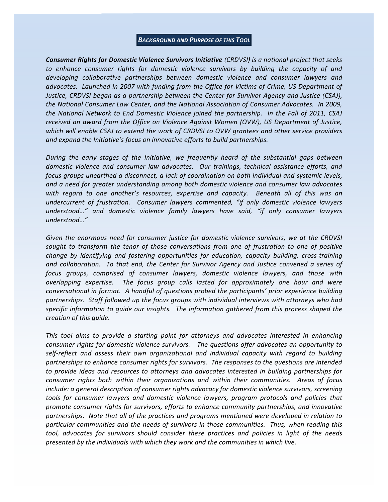#### **BACKGROUND AND PURPOSE OF THIS TOOL**

**Consumer Rights for Domestic Violence Survivors Initiative** (CRDVSI) is a national project that seeks to enhance consumer rights for domestic violence survivors by building the capacity of and developing collaborative partnerships between domestic violence and consumer lawyers and advocates. Launched in 2007 with funding from the Office for Victims of Crime, US Department of Justice, CRDVSI began as a partnership between the Center for Survivor Agency and Justice (CSAJ), the National Consumer Law Center, and the National Association of Consumer Advocates. In 2009, the National Network to End Domestic Violence joined the partnership. In the Fall of 2011, CSAJ received an award from the Office on Violence Against Women (OVW), US Department of Justice, which will enable CSAJ to extend the work of CRDVSI to OVW grantees and other service providers and expand the *Initiative's* focus on innovative efforts to build partnerships.

During the early stages of the Initiative, we frequently heard of the substantial gaps between domestic violence and consumer law advocates. Our trainings, technical assistance efforts, and focus groups unearthed a disconnect, a lack of coordination on both individual and systemic levels, and a need for greater understanding among both domestic violence and consumer law advocates with regard to one another's resources, expertise and capacity. Beneath all of this was an undercurrent of frustration. Consumer lawyers commented, "if only domestic violence lawyers understood..." and domestic violence family lawyers have said, "if only consumer lawyers understood..."

Given the enormous need for consumer justice for domestic violence survivors, we at the CRDVSI sought to transform the tenor of those conversations from one of frustration to one of positive change by identifying and fostering opportunities for education, capacity building, cross-training and collaboration. To that end, the Center for Survivor Agency and Justice convened a series of *focus* groups, comprised of consumer lawyers, domestic violence lawyers, and those with overlapping expertise. The focus group calls lasted for approximately one hour and were conversational in format. A handful of questions probed the participants' prior experience building partnerships. Staff followed up the focus groups with individual interviews with attorneys who had specific information to guide our insights. The information gathered from this process shaped the creation of this quide.

This tool aims to provide a starting point for attorneys and advocates interested in enhancing consumer rights for domestic violence survivors. The questions offer advocates an opportunity to self-reflect and assess their own organizational and individual capacity with regard to building partnerships to enhance consumer rights for survivors. The responses to the questions are intended to provide ideas and resources to attorneys and advocates interested in building partnerships for consumer rights both within their organizations and within their communities. Areas of focus include: a general description of consumer rights advocacy for domestic violence survivors, screening tools for consumer lawyers and domestic violence lawyers, program protocols and policies that promote consumer rights for survivors, efforts to enhance community partnerships, and innovative partnerships. Note that all of the practices and programs mentioned were developed in relation to particular communities and the needs of survivors in those communities. Thus, when reading this tool, advocates for survivors should consider these practices and policies in light of the needs presented by the individuals with which they work and the communities in which live.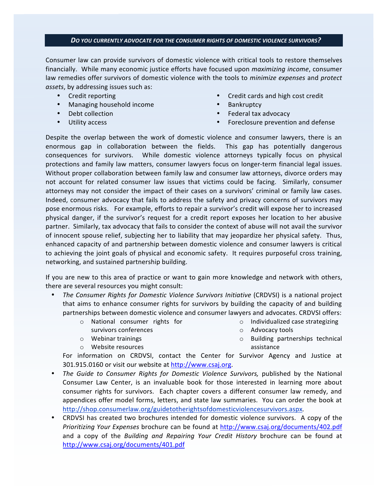#### DO YOU CURRENTLY ADVOCATE FOR THE CONSUMER RIGHTS OF DOMESTIC VIOLENCE SURVIVORS?

Consumer law can provide survivors of domestic violence with critical tools to restore themselves financially. While many economic justice efforts have focused upon *maximizing income*, consumer law remedies offer survivors of domestic violence with the tools to *minimize expenses* and *protect* assets, by addressing issues such as:

- Credit reporting
- Managing household income
- Debt collection
- Utility access
- Credit cards and high cost credit
- Bankruptcy
- Federal tax advocacy
- Foreclosure prevention and defense

Despite the overlap between the work of domestic violence and consumer lawyers, there is an enormous gap in collaboration between the fields. This gap has potentially dangerous consequences for survivors. While domestic violence attorneys typically focus on physical protections and family law matters, consumer lawyers focus on longer-term financial legal issues. Without proper collaboration between family law and consumer law attorneys, divorce orders may not account for related consumer law issues that victims could be facing. Similarly, consumer attorneys may not consider the impact of their cases on a survivors' criminal or family law cases. Indeed, consumer advocacy that fails to address the safety and privacy concerns of survivors may pose enormous risks. For example, efforts to repair a survivor's credit will expose her to increased physical danger, if the survivor's request for a credit report exposes her location to her abusive partner. Similarly, tax advocacy that fails to consider the context of abuse will not avail the survivor of innocent spouse relief, subjecting her to liability that may jeopardize her physical safety. Thus, enhanced capacity of and partnership between domestic violence and consumer lawyers is critical to achieving the joint goals of physical and economic safety. It requires purposeful cross training, networking, and sustained partnership building.

If you are new to this area of practice or want to gain more knowledge and network with others, there are several resources you might consult:

- The Consumer Rights for Domestic Violence Survivors Initiative (CRDVSI) is a national project that aims to enhance consumer rights for survivors by building the capacity of and building partnerships between domestic violence and consumer lawyers and advocates. CRDVSI offers:
	- o National consumer rights for
	- survivors conferences
	- $\circ$  Webinar trainings
	- o Website resources
- $\circ$  Individualized case strategizing
- o Advocacy tools
- $\circ$  Building partnerships technical assistance

For information on CRDVSI, contact the Center for Survivor Agency and Justice at 301.915.0160 or visit our website at http://www.csaj.org.

- The Guide to Consumer Rights for Domestic Violence Survivors, published by the National Consumer Law Center, is an invaluable book for those interested in learning more about consumer rights for survivors. Each chapter covers a different consumer law remedy, and appendices offer model forms, letters, and state law summaries. You can order the book at http://shop.consumerlaw.org/guidetotherightsofdomesticviolencesurvivors.aspx.
- CRDVSI has created two brochures intended for domestic violence survivors. A copy of the *Prioritizing Your Expenses* brochure can be found at http://www.csaj.org/documents/402.pdf and a copy of the Building and Repairing Your Credit History brochure can be found at http://www.csaj.org/documents/401.pdf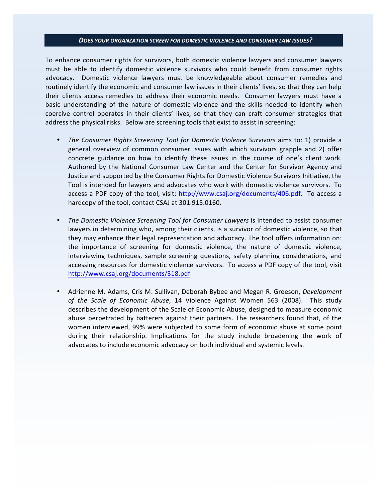#### *DOES YOUR ORGANZATION SCREEN FOR DOMESTIC VIOLENCE AND CONSUMER LAW ISSUES?*

To enhance consumer rights for survivors, both domestic violence lawyers and consumer lawyers must be able to identify domestic violence survivors who could benefit from consumer rights advocacy. Domestic violence lawyers must be knowledgeable about consumer remedies and routinely identify the economic and consumer law issues in their clients' lives, so that they can help their clients access remedies to address their economic needs. Consumer lawyers must have a basic understanding of the nature of domestic violence and the skills needed to identify when coercive control operates in their clients' lives, so that they can craft consumer strategies that address the physical risks. Below are screening tools that exist to assist in screening:

- *The Consumer Rights Screening Tool for Domestic Violence Survivors* aims to: 1) provide a general overview of common consumer issues with which survivors grapple and 2) offer concrete guidance on how to identify these issues in the course of one's client work. Authored by the National Consumer Law Center and the Center for Survivor Agency and Justice and supported by the Consumer Rights for Domestic Violence Survivors Initiative, the Tool is intended for lawyers and advocates who work with domestic violence survivors. To access a PDF copy of the tool, visit: http://www.csaj.org/documents/406.pdf. To access a hardcopy of the tool, contact CSAJ at 301.915.0160.
- The Domestic Violence Screening Tool for Consumer Lawyers is intended to assist consumer lawyers in determining who, among their clients, is a survivor of domestic violence, so that they may enhance their legal representation and advocacy. The tool offers information on: the importance of screening for domestic violence, the nature of domestic violence, interviewing techniques, sample screening questions, safety planning considerations, and accessing resources for domestic violence survivors. To access a PDF copy of the tool, visit http://www.csaj.org/documents/318.pdf.
- Adrienne M. Adams, Cris M. Sullivan, Deborah Bybee and Megan R. Greeson, Development of the Scale of Economic Abuse, 14 Violence Against Women 563 (2008). This study describes the development of the Scale of Economic Abuse, designed to measure economic abuse perpetrated by batterers against their partners. The researchers found that, of the women interviewed, 99% were subjected to some form of economic abuse at some point during their relationship. Implications for the study include broadening the work of advocates to include economic advocacy on both individual and systemic levels.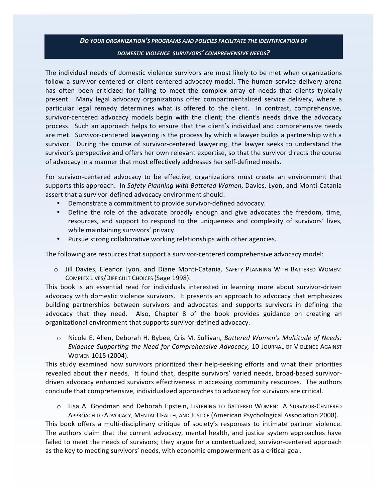# *DO YOUR ORGANIZATION'S PROGRAMS AND POLICIES FACILITATE THE IDENTIFICATION OF DOMESTIC VIOLENCE SURVIVORS' COMPREHENSIVE NEEDS?*

The individual needs of domestic violence survivors are most likely to be met when organizations follow a survivor-centered or client-centered advocacy model. The human service delivery arena has often been criticized for failing to meet the complex array of needs that clients typically present. Many legal advocacy organizations offer compartmentalized service delivery, where a particular legal remedy determines what is offered to the client. In contrast, comprehensive, survivor-centered advocacy models begin with the client; the client's needs drive the advocacy process. Such an approach helps to ensure that the client's individual and comprehensive needs are met. Survivor-centered lawyering is the process by which a lawyer builds a partnership with a survivor. During the course of survivor-centered lawyering, the lawyer seeks to understand the survivor's perspective and offers her own relevant expertise, so that the survivor directs the course of advocacy in a manner that most effectively addresses her self-defined needs.

For survivor-centered advocacy to be effective, organizations must create an environment that supports this approach. In Safety Planning with Battered Women, Davies, Lyon, and Monti-Catania assert that a survivor-defined advocacy environment should:

- Demonstrate a commitment to provide survivor-defined advocacy.
- Define the role of the advocate broadly enough and give advocates the freedom, time, resources, and support to respond to the uniqueness and complexity of survivors' lives, while maintaining survivors' privacy.
- Pursue strong collaborative working relationships with other agencies.

The following are resources that support a survivor-centered comprehensive advocacy model:

 $\circ$  Jill Davies, Eleanor Lyon, and Diane Monti-Catania, SAFETY PLANNING WITH BATTERED WOMEN: COMPLEX LIVES/DIFFICULT CHOICES (Sage 1998).

This book is an essential read for individuals interested in learning more about survivor-driven advocacy with domestic violence survivors. It presents an approach to advocacy that emphasizes building partnerships between survivors and advocates and supports survivors in defining the advocacy that they need. Also, Chapter 8 of the book provides guidance on creating an organizational environment that supports survivor-defined advocacy.

o Nicole E. Allen, Deborah H. Bybee, Cris M. Sullivan, Battered Women's Multitude of Needs: *Evidence Supporting the Need for Comprehensive Advocacy, 10 JOURNAL OF VIOLENCE AGAINST* WOMEN 1015 (2004).

This study examined how survivors prioritized their help-seeking efforts and what their priorities revealed about their needs. It found that, despite survivors' varied needs, broad-based survivordriven advocacy enhanced survivors effectiveness in accessing community resources. The authors conclude that comprehensive, individualized approaches to advocacy for survivors are critical.

O Lisa A. Goodman and Deborah Epstein, Listening to BATTERED WOMEN: A SURVIVOR-CENTERED APPROACH TO ADVOCACY, MENTAL HEALTH, AND JUSTICE (American Psychological Association 2008).

This book offers a multi-disciplinary critique of society's responses to intimate partner violence. The authors claim that the current advocacy, mental health, and justice system approaches have failed to meet the needs of survivors; they argue for a contextualized, survivor-centered approach as the key to meeting survivors' needs, with economic empowerment as a critical goal.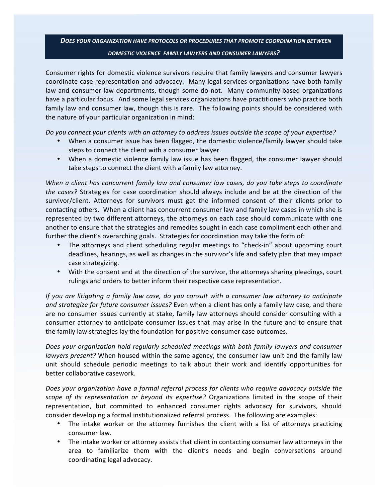## *DOES YOUR ORGANIZATION HAVE PROTOCOLS OR PROCEDURES THAT PROMOTE COORDINATION BETWEEN DOMESTIC VIOLENCE 

 FAMILY LAWYERS AND CONSUMER LAWYERS?*

Consumer rights for domestic violence survivors require that family lawyers and consumer lawyers coordinate case representation and advocacy. Many legal services organizations have both family law and consumer law departments, though some do not. Many community-based organizations have a particular focus. And some legal services organizations have practitioners who practice both family law and consumer law, though this is rare. The following points should be considered with the nature of your particular organization in mind:

Do you connect your clients with an attorney to address issues outside the scope of your expertise?

- When a consumer issue has been flagged, the domestic violence/family lawyer should take steps to connect the client with a consumer lawyer.
- When a domestic violence family law issue has been flagged, the consumer lawyer should take steps to connect the client with a family law attorney.

When a client has concurrent family law and consumer law cases, do you take steps to coordinate the cases? Strategies for case coordination should always include and be at the direction of the survivor/client. Attorneys for survivors must get the informed consent of their clients prior to contacting others. When a client has concurrent consumer law and family law cases in which she is represented by two different attorneys, the attorneys on each case should communicate with one another to ensure that the strategies and remedies sought in each case compliment each other and further the client's overarching goals. Strategies for coordination may take the form of:

- The attorneys and client scheduling regular meetings to "check-in" about upcoming court deadlines, hearings, as well as changes in the survivor's life and safety plan that may impact case strategizing.
- With the consent and at the direction of the survivor, the attorneys sharing pleadings, court rulings and orders to better inform their respective case representation.

If you are litigating a family law case, do you consult with a consumer law attorney to anticipate and strategize for future consumer issues? Even when a client has only a family law case, and there are no consumer issues currently at stake, family law attorneys should consider consulting with a consumer attorney to anticipate consumer issues that may arise in the future and to ensure that the family law strategies lay the foundation for positive consumer case outcomes.

Does your organization hold regularly scheduled meetings with both family lawyers and consumer lawyers present? When housed within the same agency, the consumer law unit and the family law unit should schedule periodic meetings to talk about their work and identify opportunities for better collaborative casework.

Does your organization have a formal referral process for clients who require advocacy outside the scope of its representation or beyond its expertise? Organizations limited in the scope of their representation, but committed to enhanced consumer rights advocacy for survivors, should consider developing a formal institutionalized referral process. The following are examples:

- The intake worker or the attorney furnishes the client with a list of attorneys practicing consumer law.
- The intake worker or attorney assists that client in contacting consumer law attorneys in the area to familiarize them with the client's needs and begin conversations around coordinating legal advocacy.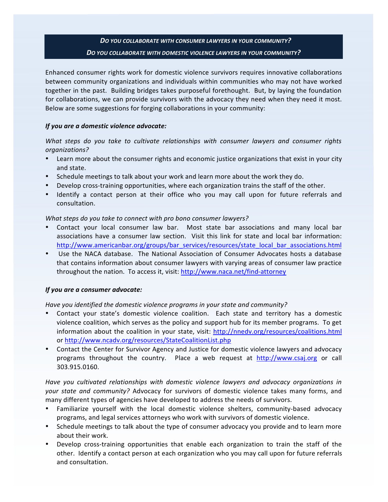# *DO YOU COLLABORATE WITH CONSUMER LAWYERS IN YOUR COMMUNITY? 
 DO YOU COLLABORATE WITH DOMESTIC VIOLENCE LAWYERS IN YOUR COMMUNITY?*

Enhanced consumer rights work for domestic violence survivors requires innovative collaborations between community organizations and individuals within communities who may not have worked together in the past. Building bridges takes purposeful forethought. But, by laying the foundation for collaborations, we can provide survivors with the advocacy they need when they need it most. Below are some suggestions for forging collaborations in your community:

#### If you are a domestic violence advocate:

What steps do you take to cultivate relationships with consumer lawyers and consumer rights *organizations?* 

- Learn more about the consumer rights and economic justice organizations that exist in your city and state.
- Schedule meetings to talk about your work and learn more about the work they do.
- Develop cross-training opportunities, where each organization trains the staff of the other.
- Identify a contact person at their office who you may call upon for future referrals and consultation.

### What steps do you take to connect with pro bono consumer lawyers?

- Contact your local consumer law bar. Most state bar associations and many local bar associations have a consumer law section. Visit this link for state and local bar information: http://www.americanbar.org/groups/bar\_services/resources/state\_local\_bar\_associations.html
- Use the NACA database. The National Association of Consumer Advocates hosts a database that contains information about consumer lawyers with varying areas of consumer law practice throughout the nation. To access it, visit: http://www.naca.net/find-attorney

### If you are a consumer advocate:

Have you identified the domestic violence programs in your state and community?

- Contact your state's domestic violence coalition. Each state and territory has a domestic violence coalition, which serves as the policy and support hub for its member programs. To get information about the coalition in your state, visit: http://nnedv.org/resources/coalitions.html or http://www.ncadv.org/resources/StateCoalitionList.php
- Contact the Center for Survivor Agency and Justice for domestic violence lawyers and advocacy programs throughout the country. Place a web request at http://www.csaj.org or call 303.915.0160.

Have you cultivated relationships with domestic violence lawyers and advocacy organizations in your state and community? Advocacy for survivors of domestic violence takes many forms, and many different types of agencies have developed to address the needs of survivors.

- Familiarize yourself with the local domestic violence shelters, community-based advocacy programs, and legal services attorneys who work with survivors of domestic violence.
- Schedule meetings to talk about the type of consumer advocacy you provide and to learn more about their work.
- Develop cross-training opportunities that enable each organization to train the staff of the other. Identify a contact person at each organization who you may call upon for future referrals and consultation.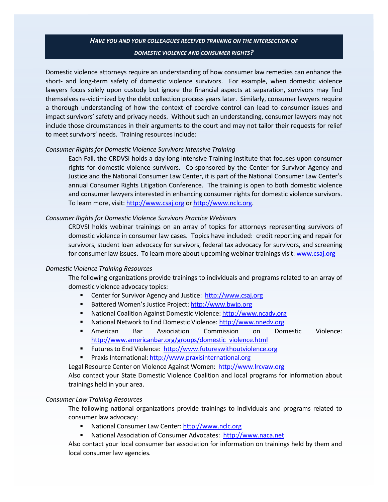# *HAVE YOU AND YOUR COLLEAGUES RECEIVED TRAINING ON THE INTERSECTION OF DOMESTIC VIOLENCE AND CONSUMER RIGHTS?*

Domestic violence attorneys require an understanding of how consumer law remedies can enhance the short- and long-term safety of domestic violence survivors. For example, when domestic violence lawyers focus solely upon custody but ignore the financial aspects at separation, survivors may find themselves re-victimized by the debt collection process years later. Similarly, consumer lawyers require a thorough understanding of how the context of coercive control can lead to consumer issues and impact survivors' safety and privacy needs. Without such an understanding, consumer lawyers may not include those circumstances in their arguments to the court and may not tailor their requests for relief to meet survivors' needs. Training resources include:

#### **Consumer Rights for Domestic Violence Survivors Intensive Training**

Each Fall, the CRDVSI holds a day-long Intensive Training Institute that focuses upon consumer rights for domestic violence survivors. Co-sponsored by the Center for Survivor Agency and Justice and the National Consumer Law Center, it is part of the National Consumer Law Center's annual Consumer Rights Litigation Conference. The training is open to both domestic violence and consumer lawyers interested in enhancing consumer rights for domestic violence survivors. To learn more, visit: http://www.csaj.org or http://www.nclc.org.

#### **Consumer Rights for Domestic Violence Survivors Practice Webinars**

CRDVSI holds webinar trainings on an array of topics for attorneys representing survivors of domestic violence in consumer law cases. Topics have included: credit reporting and repair for survivors, student loan advocacy for survivors, federal tax advocacy for survivors, and screening for consumer law issues. To learn more about upcoming webinar trainings visit: www.csaj.org

#### **Domestic Violence Training Resources**

The following organizations provide trainings to individuals and programs related to an array of domestic violence advocacy topics:

- **EXECTE:** Center for Survivor Agency and Justice: http://www.csaj.org
- Battered Women's Justice Project: http://www.bwjp.org
- National Coalition Against Domestic Violence: http://www.ncadv.org
- National Network to End Domestic Violence: http://www.nnedv.org
- **American Bar Association Commission on Domestic Violence:** http://www.americanbar.org/groups/domestic\_violence.html
- **EXECT:** Futures to End Violence: http://www.futureswithoutviolence.org
- Praxis International: http://www.praxisinternational.org

Legal Resource Center on Violence Against Women: http://www.lrcvaw.org

Also contact your State Domestic Violence Coalition and local programs for information about trainings held in your area.

#### **Consumer Law Training Resources**

The following national organizations provide trainings to individuals and programs related to consumer law advocacy:

- National Consumer Law Center: http://www.nclc.org
- National Association of Consumer Advocates: http://www.naca.net

Also contact your local consumer bar association for information on trainings held by them and local consumer law agencies.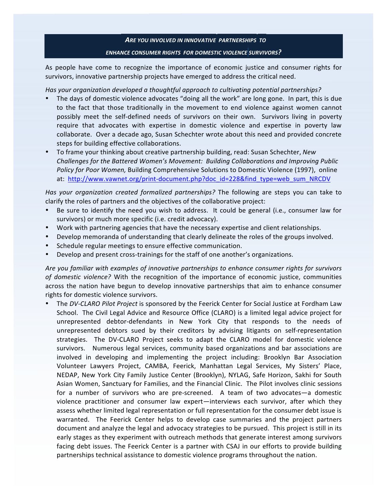# *ARE YOU INVOLVED IN INNOVATIVE 
 PARTNERSHIPS TO ENHANCE CONSUMER RIGHTS FOR DOMESTIC VIOLENCE SURVIVORS?*

As people have come to recognize the importance of economic justice and consumer rights for survivors, innovative partnership projects have emerged to address the critical need.

Has your organization developed a thoughtful approach to cultivating potential partnerships?

- The days of domestic violence advocates "doing all the work" are long gone. In part, this is due to the fact that those traditionally in the movement to end violence against women cannot possibly meet the self-defined needs of survivors on their own. Survivors living in poverty require that advocates with expertise in domestic violence and expertise in poverty law collaborate. Over a decade ago, Susan Schechter wrote about this need and provided concrete steps for building effective collaborations.
- To frame your thinking about creative partnership building, read: Susan Schechter, New Challenges for the Battered Women's Movement: Building Collaborations and Improving Public Policy for Poor Women, Building Comprehensive Solutions to Domestic Violence (1997), online at: http://www.vawnet.org/print-document.php?doc\_id=228&find\_type=web\_sum\_NRCDV

Has your organization created formalized partnerships? The following are steps you can take to clarify the roles of partners and the objectives of the collaborative project:

- Be sure to identify the need you wish to address. It could be general (i.e., consumer law for survivors) or much more specific (i.e. credit advocacy).
- Work with partnering agencies that have the necessary expertise and client relationships.
- Develop memoranda of understanding that clearly delineate the roles of the groups involved.
- Schedule regular meetings to ensure effective communication.
- Develop and present cross-trainings for the staff of one another's organizations.

Are you familiar with examples of innovative partnerships to enhance consumer rights for survivors of domestic violence? With the recognition of the importance of economic justice, communities across the nation have begun to develop innovative partnerships that aim to enhance consumer rights for domestic violence survivors.

The DV-CLARO Pilot Project is sponsored by the Feerick Center for Social Justice at Fordham Law School. The Civil Legal Advice and Resource Office (CLARO) is a limited legal advice project for unrepresented debtor-defendants in New York City that responds to the needs of unrepresented debtors sued by their creditors by advising litigants on self-representation strategies. The DV-CLARO Project seeks to adapt the CLARO model for domestic violence survivors. Numerous legal services, community based organizations and bar associations are involved in developing and implementing the project including: Brooklyn Bar Association Volunteer Lawyers Project, CAMBA, Feerick, Manhattan Legal Services, My Sisters' Place, NEDAP, New York City Family Justice Center (Brooklyn), NYLAG, Safe Horizon, Sakhi for South Asian Women, Sanctuary for Families, and the Financial Clinic. The Pilot involves clinic sessions for a number of survivors who are pre-screened. A team of two advocates—a domestic violence practitioner and consumer law expert—interviews each survivor, after which they assess whether limited legal representation or full representation for the consumer debt issue is warranted. The Feerick Center helps to develop case summaries and the project partners document and analyze the legal and advocacy strategies to be pursued. This project is still in its early stages as they experiment with outreach methods that generate interest among survivors facing debt issues. The Feerick Center is a partner with CSAJ in our efforts to provide building partnerships technical assistance to domestic violence programs throughout the nation.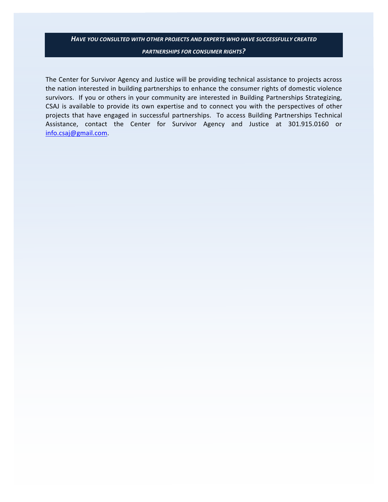# *HAVE YOU CONSULTED WITH OTHER PROJECTS AND EXPERTS WHO HAVE SUCCESSFULLY CREATED*

*PARTNERSHIPS FOR CONSUMER RIGHTS?*

The Center for Survivor Agency and Justice will be providing technical assistance to projects across the nation interested in building partnerships to enhance the consumer rights of domestic violence survivors. If you or others in your community are interested in Building Partnerships Strategizing, CSAJ is available to provide its own expertise and to connect you with the perspectives of other projects that have engaged in successful partnerships. To access Building Partnerships Technical Assistance, contact the Center for Survivor Agency and Justice at 301.915.0160 or info.csaj@gmail.com.